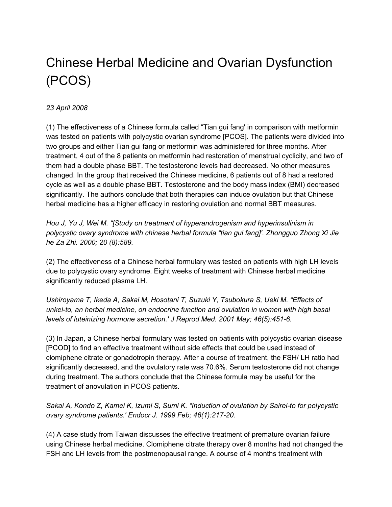## Chinese Herbal Medicine and Ovarian Dysfunction (PCOS)

## *23 April 2008*

(1) The effectiveness of a Chinese formula called "Tian gui fang' in comparison with metformin was tested on patients with polycystic ovarian syndrome [PCOS]. The patients were divided into two groups and either Tian gui fang or metformin was administered for three months. After treatment, 4 out of the 8 patients on metformin had restoration of menstrual cyclicity, and two of them had a double phase BBT. The testosterone levels had decreased. No other measures changed. In the group that received the Chinese medicine, 6 patients out of 8 had a restored cycle as well as a double phase BBT. Testosterone and the body mass index (BMI) decreased significantly. The authors conclude that both therapies can induce ovulation but that Chinese herbal medicine has a higher efficacy in restoring ovulation and normal BBT measures.

*Hou J, Yu J, Wei M. "[Study on treatment of hyperandrogenism and hyperinsulinism in polycystic ovary syndrome with chinese herbal formula "tian gui fang]'. Zhongguo Zhong Xi Jie he Za Zhi. 2000; 20 (8):589.*

(2) The effectiveness of a Chinese herbal formulary was tested on patients with high LH levels due to polycystic ovary syndrome. Eight weeks of treatment with Chinese herbal medicine significantly reduced plasma LH.

*Ushiroyama T, Ikeda A, Sakai M, Hosotani T, Suzuki Y, Tsubokura S, Ueki M. "Effects of unkei-to, an herbal medicine, on endocrine function and ovulation in women with high basal levels of luteinizing hormone secretion.' J Reprod Med. 2001 May; 46(5):451-6.*

(3) In Japan, a Chinese herbal formulary was tested on patients with polycystic ovarian disease [PCOD] to find an effective treatment without side effects that could be used instead of clomiphene citrate or gonadotropin therapy. After a course of treatment, the FSH/ LH ratio had significantly decreased, and the ovulatory rate was 70.6%. Serum testosterone did not change during treatment. The authors conclude that the Chinese formula may be useful for the treatment of anovulation in PCOS patients.

*Sakai A, Kondo Z, Kamei K, Izumi S, Sumi K. "Induction of ovulation by Sairei-to for polycystic ovary syndrome patients.' Endocr J. 1999 Feb; 46(1):217-20.*

(4) A case study from Taiwan discusses the effective treatment of premature ovarian failure using Chinese herbal medicine. Clomiphene citrate therapy over 8 months had not changed the FSH and LH levels from the postmenopausal range. A course of 4 months treatment with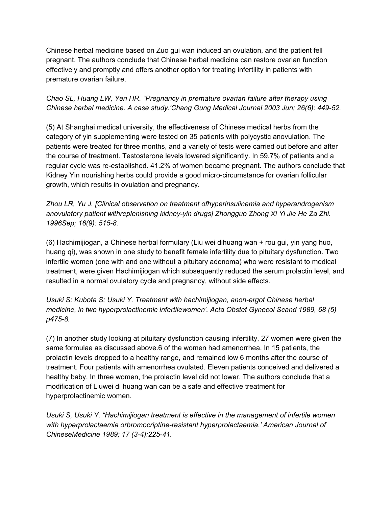Chinese herbal medicine based on Zuo gui wan induced an ovulation, and the patient fell pregnant. The authors conclude that Chinese herbal medicine can restore ovarian function effectively and promptly and offers another option for treating infertility in patients with premature ovarian failure.

## *Chao SL, Huang LW, Yen HR. "Pregnancy in premature ovarian failure after therapy using Chinese herbal medicine. A case study.'Chang Gung Medical Journal 2003 Jun; 26(6): 449-52.*

(5) At Shanghai medical university, the effectiveness of Chinese medical herbs from the category of yin supplementing were tested on 35 patients with polycystic anovulation. The patients were treated for three months, and a variety of tests were carried out before and after the course of treatment. Testosterone levels lowered significantly. In 59.7% of patients and a regular cycle was re-established. 41.2% of women became pregnant. The authors conclude that Kidney Yin nourishing herbs could provide a good micro-circumstance for ovarian follicular growth, which results in ovulation and pregnancy.

*Zhou LR, Yu J. [Clinical observation on treatment ofhyperinsulinemia and hyperandrogenism anovulatory patient withreplenishing kidney-yin drugs] Zhongguo Zhong Xi Yi Jie He Za Zhi. 1996Sep; 16(9): 515-8.*

(6) Hachimijiogan, a Chinese herbal formulary (Liu wei dihuang wan + rou gui, yin yang huo, huang qi), was shown in one study to benefit female infertility due to pituitary dysfunction. Two infertile women (one with and one without a pituitary adenoma) who were resistant to medical treatment, were given Hachimijiogan which subsequently reduced the serum prolactin level, and resulted in a normal ovulatory cycle and pregnancy, without side effects.

*Usuki S; Kubota S; Usuki Y. Treatment with hachimijiogan, anon-ergot Chinese herbal medicine, in two hyperprolactinemic infertilewomen'. Acta Obstet Gynecol Scand 1989, 68 (5) p475-8.*

(7) In another study looking at pituitary dysfunction causing infertility, 27 women were given the same formulae as discussed above.6 of the women had amenorrhea. In 15 patients, the prolactin levels dropped to a healthy range, and remained low 6 months after the course of treatment. Four patients with amenorrhea ovulated. Eleven patients conceived and delivered a healthy baby. In three women, the prolactin level did not lower. The authors conclude that a modification of Liuwei di huang wan can be a safe and effective treatment for hyperprolactinemic women.

*Usuki S, Usuki Y. "Hachimijiogan treatment is effective in the management of infertile women with hyperprolactaemia orbromocriptine-resistant hyperprolactaemia.' American Journal of ChineseMedicine 1989; 17 (3-4):225-41.*